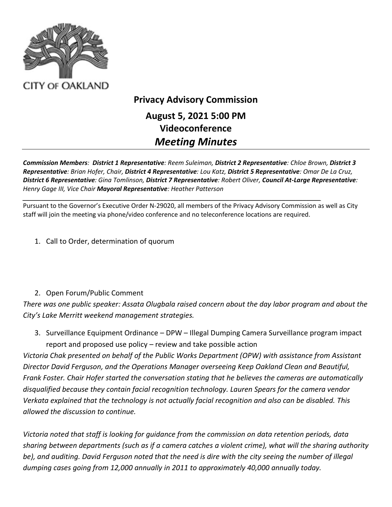

## **Privacy Advisory Commission August 5, 2021 5:00 PM Videoconference** *Meeting Minutes*

*Commission Members: District 1 Representative: Reem Suleiman, District 2 Representative: Chloe Brown, District 3 Representative: Brian Hofer, Chair, District 4 Representative: Lou Katz, District 5 Representative: Omar De La Cruz, District 6 Representative: Gina Tomlinson, District 7 Representative: Robert Oliver, Council At-Large Representative: Henry Gage III, Vice Chair Mayoral Representative: Heather Patterson*

Pursuant to the Governor's Executive Order N-29020, all members of the Privacy Advisory Commission as well as City staff will join the meeting via phone/video conference and no teleconference locations are required.

*\_\_\_\_\_\_\_\_\_\_\_\_\_\_\_\_\_\_\_\_\_\_\_\_\_\_\_\_\_\_\_\_\_\_\_\_\_\_\_\_\_\_\_\_\_\_\_\_\_\_\_\_\_\_\_\_\_\_\_\_\_\_\_\_\_\_\_\_\_\_\_\_\_\_\_\_\_\_\_\_\_\_\_\_\_*

1. Call to Order, determination of quorum

## 2. Open Forum/Public Comment

*There was one public speaker: Assata Olugbala raised concern about the day labor program and about the City's Lake Merritt weekend management strategies.* 

3. Surveillance Equipment Ordinance – DPW – Illegal Dumping Camera Surveillance program impact report and proposed use policy – review and take possible action

*Victoria Chak presented on behalf of the Public Works Department (OPW) with assistance from Assistant Director David Ferguson, and the Operations Manager overseeing Keep Oakland Clean and Beautiful, Frank Foster. Chair Hofer started the conversation stating that he believes the cameras are automatically disqualified because they contain facial recognition technology. Lauren Spears for the camera vendor Verkata explained that the technology is not actually facial recognition and also can be disabled. This allowed the discussion to continue.*

*Victoria noted that staff is looking for guidance from the commission on data retention periods, data sharing between departments (such as if a camera catches a violent crime), what will the sharing authority be), and auditing. David Ferguson noted that the need is dire with the city seeing the number of illegal dumping cases going from 12,000 annually in 2011 to approximately 40,000 annually today.*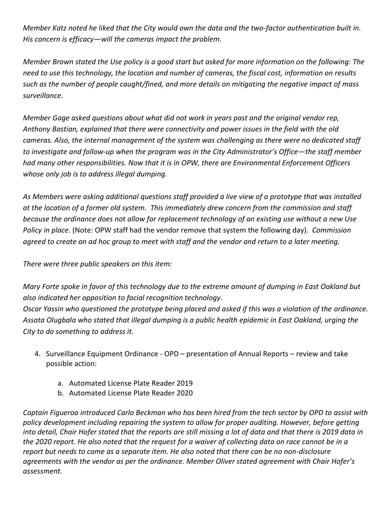*Member Katz noted he liked that the City would own the data and the two-factor authentication built in. His concern is efficacy—will the cameras impact the problem.* 

*Member Brown stated the Use policy is a good start but asked for more information on the following: The need to use this technology, the location and number of cameras, the fiscal cost, information on results such as the number of people caught/fined, and more details on mitigating the negative impact of mass surveillance.* 

*Member Gage asked questions about what did not work in years past and the original vendor rep, Anthony Bastian, explained that there were connectivity and power issues in the field with the old cameras. Also, the internal management of the system was challenging as there were no dedicated staff to investigate and follow-up when the program was in the City Administrator's Office—the staff member had many other responsibilities. Now that it is in OPW, there are Environmental Enforcement Officers whose only job is to address illegal dumping.*

*As Members were asking additional questions staff provided a live view of a prototype that was installed at the location of a former old system. This immediately drew concern from the commission and staff because the ordinance does not allow for replacement technology of an existing use without a new Use Policy in place.* (Note: OPW staff had the vendor remove that system the following day). *Commission agreed to create an ad hoc group to meet with staff and the vendor and return to a later meeting.*

*There were three public speakers on this item:*

*Mary Forte spoke in favor of this technology due to the extreme amount of dumping in East Oakland but also indicated her opposition to facial recognition technology.*

*Oscar Yassin who questioned the prototype being placed and asked if this was a violation of the ordinance. Assata Olugbala who stated that illegal dumping is a public health epidemic in East Oakland, urging the City to do something to address it.*

- 4. Surveillance Equipment Ordinance OPD presentation of Annual Reports review and take possible action:
	- a. Automated License Plate Reader 2019
	- b. Automated License Plate Reader 2020

*Captain Figueroa introduced Carlo Beckman who has been hired from the tech sector by OPD to assist with policy development including repairing the system to allow for proper auditing. However, before getting into detail, Chair Hofer stated that the reports are still missing a lot of data and that there is 2019 data in the 2020 report. He also noted that the request for a waiver of collecting data on race cannot be in a report but needs to come as a separate item. He also noted that there can be no non-disclosure agreements with the vendor as per the ordinance. Member Oliver stated agreement with Chair Hofer's assessment.*